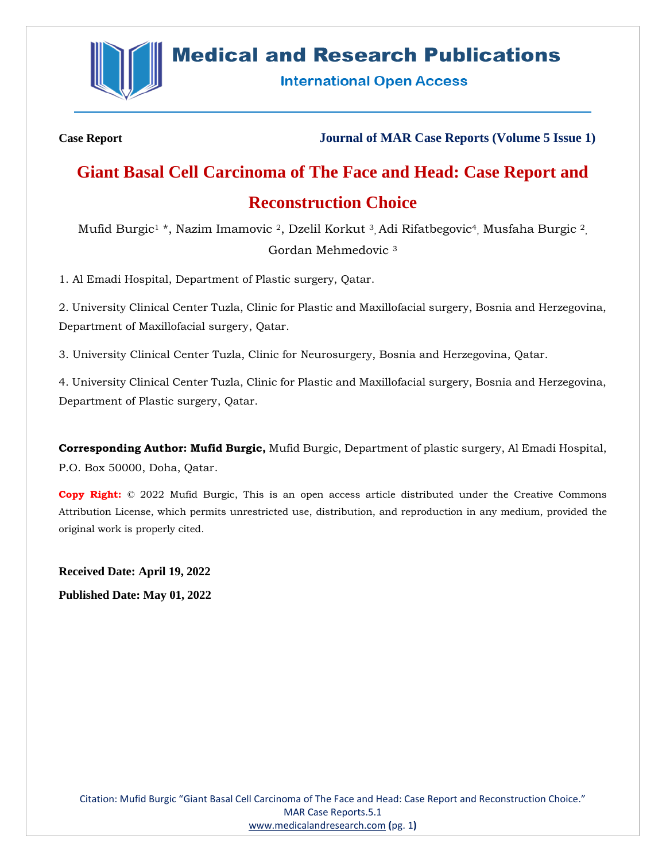

# **Medical and Research Publications**

**International Open Access** 

**Case Report Journal of MAR Case Reports (Volume 5 Issue 1)**

# **Giant Basal Cell Carcinoma of The Face and Head: Case Report and Reconstruction Choice**

Mufid Burgic<sup>1</sup> \*, Nazim Imamovic <sup>2</sup>, Dzelil Korkut <sup>3</sup>, Adi Rifatbegovic<sup>4</sup>, Musfaha Burgic <sup>2</sup>, Gordan Mehmedovic <sup>3</sup>

1. Al Emadi Hospital, Department of Plastic surgery, Qatar.

2. University Clinical Center Tuzla, Clinic for Plastic and Maxillofacial surgery, Bosnia and Herzegovina, Department of Maxillofacial surgery, Qatar.

3. University Clinical Center Tuzla, Clinic for Neurosurgery, Bosnia and Herzegovina, Qatar.

4. University Clinical Center Tuzla, Clinic for Plastic and Maxillofacial surgery, Bosnia and Herzegovina, Department of Plastic surgery, Qatar.

**Corresponding Author: Mufid Burgic,** Mufid Burgic, Department of plastic surgery, Al Emadi Hospital, P.O. Box 50000, Doha, Qatar.

**Copy Right:** © 2022 Mufid Burgic, This is an open access article distributed under the Creative Commons Attribution License, which permits unrestricted use, distribution, and reproduction in any medium, provided the original work is properly cited.

**Received Date: April 19, 2022 Published Date: May 01, 2022**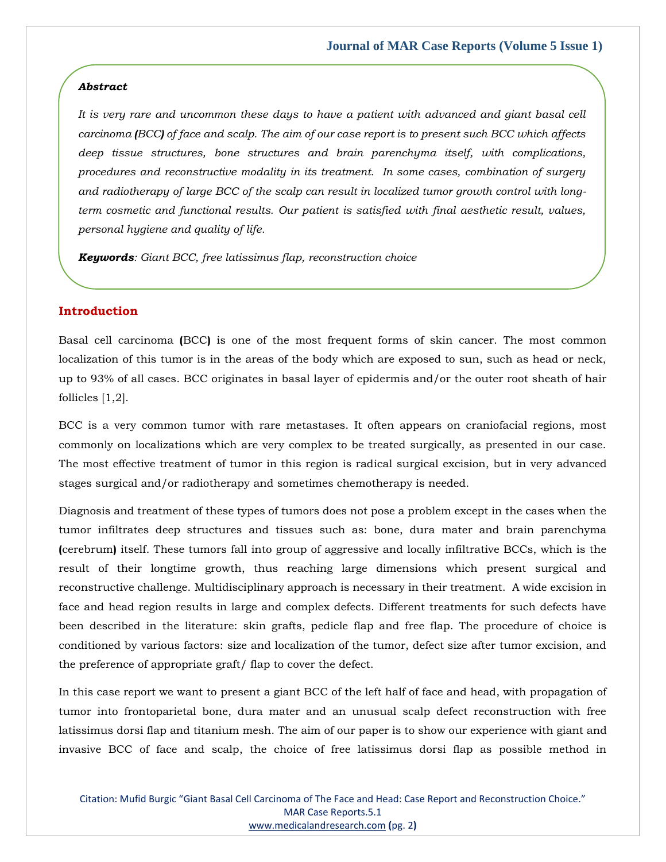#### *Abstract*

*It is very rare and uncommon these days to have a patient with advanced and giant basal cell carcinoma (BCC) of face and scalp. The aim of our case report is to present such BCC which affects deep tissue structures, bone structures and brain parenchyma itself, with complications, procedures and reconstructive modality in its treatment. In some cases, combination of surgery and radiotherapy of large BCC of the scalp can result in localized tumor growth control with longterm cosmetic and functional results. Our patient is satisfied with final aesthetic result, values, personal hygiene and quality of life.* 

*Keywords: Giant BCC, free latissimus flap, reconstruction choice*

# **Introduction**

Basal cell carcinoma **(**BCC**)** is one of the most frequent forms of skin cancer. The most common localization of this tumor is in the areas of the body which are exposed to sun, such as head or neck, up to 93% of all cases. BCC originates in basal layer of epidermis and/or the outer root sheath of hair follicles [1,2].

BCC is a very common tumor with rare metastases. It often appears on craniofacial regions, most commonly on localizations which are very complex to be treated surgically, as presented in our case. The most effective treatment of tumor in this region is radical surgical excision, but in very advanced stages surgical and/or radiotherapy and sometimes chemotherapy is needed.

Diagnosis and treatment of these types of tumors does not pose a problem except in the cases when the tumor infiltrates deep structures and tissues such as: bone, dura mater and brain parenchyma **(**cerebrum**)** itself. These tumors fall into group of aggressive and locally infiltrative BCCs, which is the result of their longtime growth, thus reaching large dimensions which present surgical and reconstructive challenge. Multidisciplinary approach is necessary in their treatment. A wide excision in face and head region results in large and complex defects. Different treatments for such defects have been described in the literature: skin grafts, pedicle flap and free flap. The procedure of choice is conditioned by various factors: size and localization of the tumor, defect size after tumor excision, and the preference of appropriate graft/ flap to cover the defect.

In this case report we want to present a giant BCC of the left half of face and head, with propagation of tumor into frontoparietal bone, dura mater and an unusual scalp defect reconstruction with free latissimus dorsi flap and titanium mesh. The aim of our paper is to show our experience with giant and invasive BCC of face and scalp, the choice of free latissimus dorsi flap as possible method in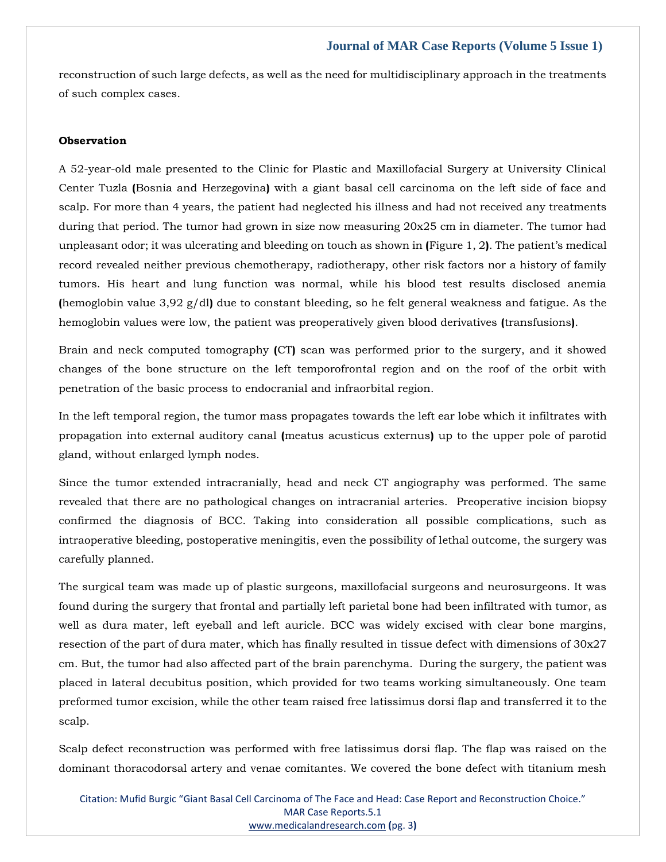reconstruction of such large defects, as well as the need for multidisciplinary approach in the treatments of such complex cases.

#### **Observation**

A 52-year-old male presented to the Clinic for Plastic and Maxillofacial Surgery at University Clinical Center Tuzla **(**Bosnia and Herzegovina**)** with a giant basal cell carcinoma on the left side of face and scalp. For more than 4 years, the patient had neglected his illness and had not received any treatments during that period. The tumor had grown in size now measuring 20x25 cm in diameter. The tumor had unpleasant odor; it was ulcerating and bleeding on touch as shown in **(**Figure 1, 2**)**. The patient's medical record revealed neither previous chemotherapy, radiotherapy, other risk factors nor a history of family tumors. His heart and lung function was normal, while his blood test results disclosed anemia **(**hemoglobin value 3,92 g/dl**)** due to constant bleeding, so he felt general weakness and fatigue. As the hemoglobin values were low, the patient was preoperatively given blood derivatives **(**transfusions**)**.

Brain and neck computed tomography **(**CT**)** scan was performed prior to the surgery, and it showed changes of the bone structure on the left temporofrontal region and on the roof of the orbit with penetration of the basic process to endocranial and infraorbital region.

In the left temporal region, the tumor mass propagates towards the left ear lobe which it infiltrates with propagation into external auditory canal **(**meatus acusticus externus**)** up to the upper pole of parotid gland, without enlarged lymph nodes.

Since the tumor extended intracranially, head and neck CT angiography was performed. The same revealed that there are no pathological changes on intracranial arteries. Preoperative incision biopsy confirmed the diagnosis of BCC. Taking into consideration all possible complications, such as intraoperative bleeding, postoperative meningitis, even the possibility of lethal outcome, the surgery was carefully planned.

The surgical team was made up of plastic surgeons, maxillofacial surgeons and neurosurgeons. It was found during the surgery that frontal and partially left parietal bone had been infiltrated with tumor, as well as dura mater, left eyeball and left auricle. BCC was widely excised with clear bone margins, resection of the part of dura mater, which has finally resulted in tissue defect with dimensions of 30x27 cm. But, the tumor had also affected part of the brain parenchyma. During the surgery, the patient was placed in lateral decubitus position, which provided for two teams working simultaneously. One team preformed tumor excision, while the other team raised free latissimus dorsi flap and transferred it to the scalp.

Scalp defect reconstruction was performed with free latissimus dorsi flap. The flap was raised on the dominant thoracodorsal artery and venae comitantes. We covered the bone defect with titanium mesh

Citation: Mufid Burgic "Giant Basal Cell Carcinoma of The Face and Head: Case Report and Reconstruction Choice." MAR Case Reports.5.1 [www.medicalandresearch.com](http://www.medicalandresearch.com/) **(**pg. 3**)**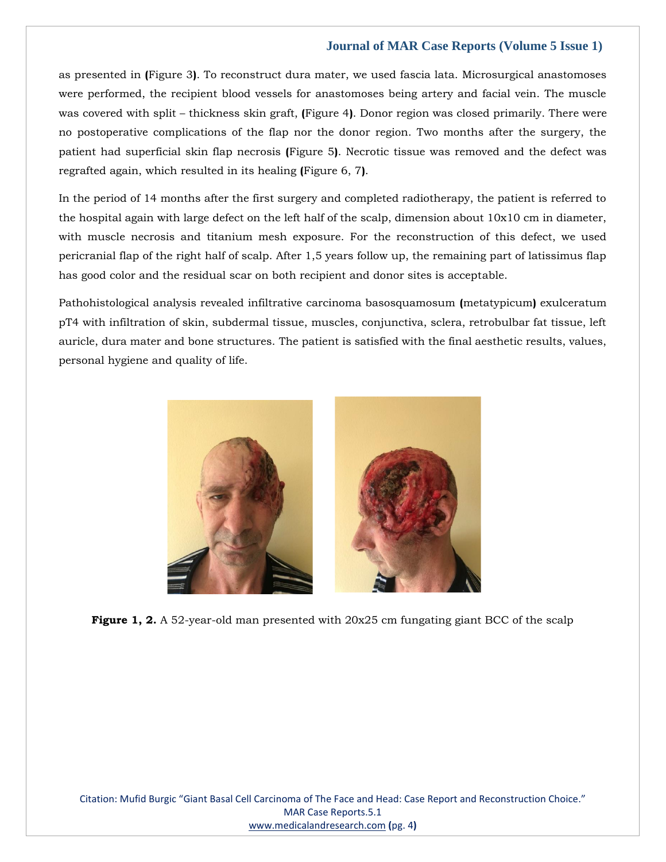as presented in **(**Figure 3**)**. To reconstruct dura mater, we used fascia lata. Microsurgical anastomoses were performed, the recipient blood vessels for anastomoses being artery and facial vein. The muscle was covered with split – thickness skin graft, **(**Figure 4**)**. Donor region was closed primarily. There were no postoperative complications of the flap nor the donor region. Two months after the surgery, the patient had superficial skin flap necrosis **(**Figure 5**)**. Necrotic tissue was removed and the defect was regrafted again, which resulted in its healing **(**Figure 6, 7**)**.

In the period of 14 months after the first surgery and completed radiotherapy, the patient is referred to the hospital again with large defect on the left half of the scalp, dimension about 10x10 cm in diameter, with muscle necrosis and titanium mesh exposure. For the reconstruction of this defect, we used pericranial flap of the right half of scalp. After 1,5 years follow up, the remaining part of latissimus flap has good color and the residual scar on both recipient and donor sites is acceptable.

Pathohistological analysis revealed infiltrative carcinoma basosquamosum **(**metatypicum**)** exulceratum pT4 with infiltration of skin, subdermal tissue, muscles, conjunctiva, sclera, retrobulbar fat tissue, left auricle, dura mater and bone structures. The patient is satisfied with the final aesthetic results, values, personal hygiene and quality of life.



**Figure 1, 2.** A 52-year-old man presented with 20x25 cm fungating giant BCC of the scalp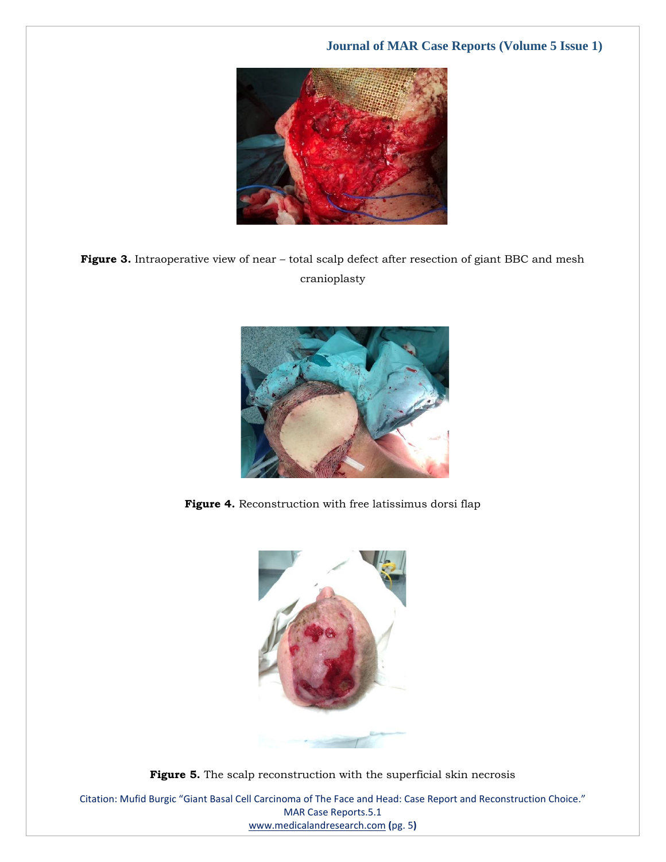

Figure 3. Intraoperative view of near – total scalp defect after resection of giant BBC and mesh cranioplasty



**Figure 4.** Reconstruction with free latissimus dorsi flap



**Figure 5.** The scalp reconstruction with the superficial skin necrosis

Citation: Mufid Burgic "Giant Basal Cell Carcinoma of The Face and Head: Case Report and Reconstruction Choice." MAR Case Reports.5.1 [www.medicalandresearch.com](http://www.medicalandresearch.com/) **(**pg. 5**)**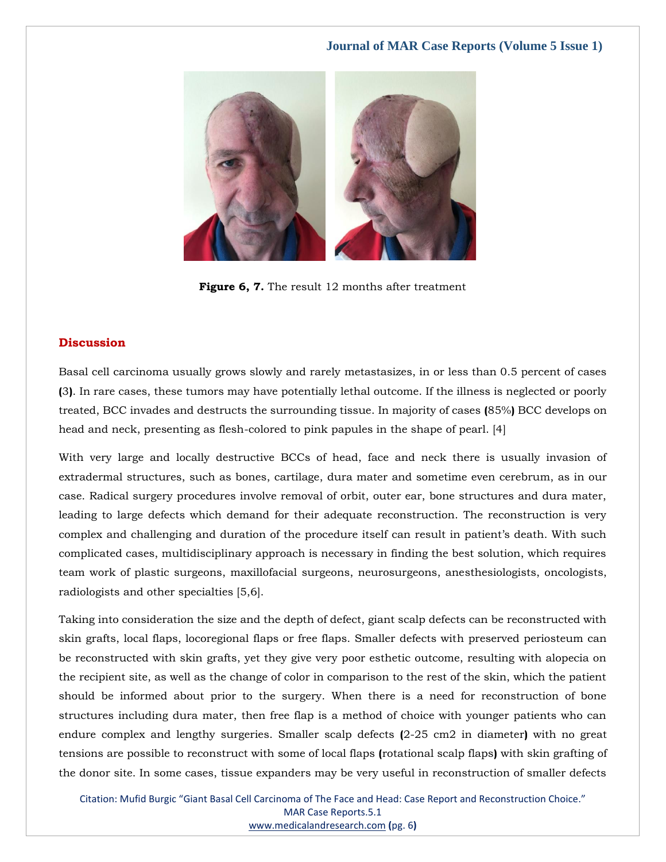

Figure 6, 7. The result 12 months after treatment

### **Discussion**

Basal cell carcinoma usually grows slowly and rarely metastasizes, in or less than 0.5 percent of cases **(**3**)**. In rare cases, these tumors may have potentially lethal outcome. If the illness is neglected or poorly treated, BCC invades and destructs the surrounding tissue. In majority of cases **(**85%**)** BCC develops on head and neck, presenting as flesh-colored to pink papules in the shape of pearl. [4]

With very large and locally destructive BCCs of head, face and neck there is usually invasion of extradermal structures, such as bones, cartilage, dura mater and sometime even cerebrum, as in our case. Radical surgery procedures involve removal of orbit, outer ear, bone structures and dura mater, leading to large defects which demand for their adequate reconstruction. The reconstruction is very complex and challenging and duration of the procedure itself can result in patient's death. With such complicated cases, multidisciplinary approach is necessary in finding the best solution, which requires team work of plastic surgeons, maxillofacial surgeons, neurosurgeons, anesthesiologists, oncologists, radiologists and other specialties [5,6].

Taking into consideration the size and the depth of defect, giant scalp defects can be reconstructed with skin grafts, local flaps, locoregional flaps or free flaps. Smaller defects with preserved periosteum can be reconstructed with skin grafts, yet they give very poor esthetic outcome, resulting with alopecia on the recipient site, as well as the change of color in comparison to the rest of the skin, which the patient should be informed about prior to the surgery. When there is a need for reconstruction of bone structures including dura mater, then free flap is a method of choice with younger patients who can endure complex and lengthy surgeries. Smaller scalp defects **(**2-25 cm2 in diameter**)** with no great tensions are possible to reconstruct with some of local flaps **(**rotational scalp flaps**)** with skin grafting of the donor site. In some cases, tissue expanders may be very useful in reconstruction of smaller defects

Citation: Mufid Burgic "Giant Basal Cell Carcinoma of The Face and Head: Case Report and Reconstruction Choice." MAR Case Reports.5.1 [www.medicalandresearch.com](http://www.medicalandresearch.com/) **(**pg. 6**)**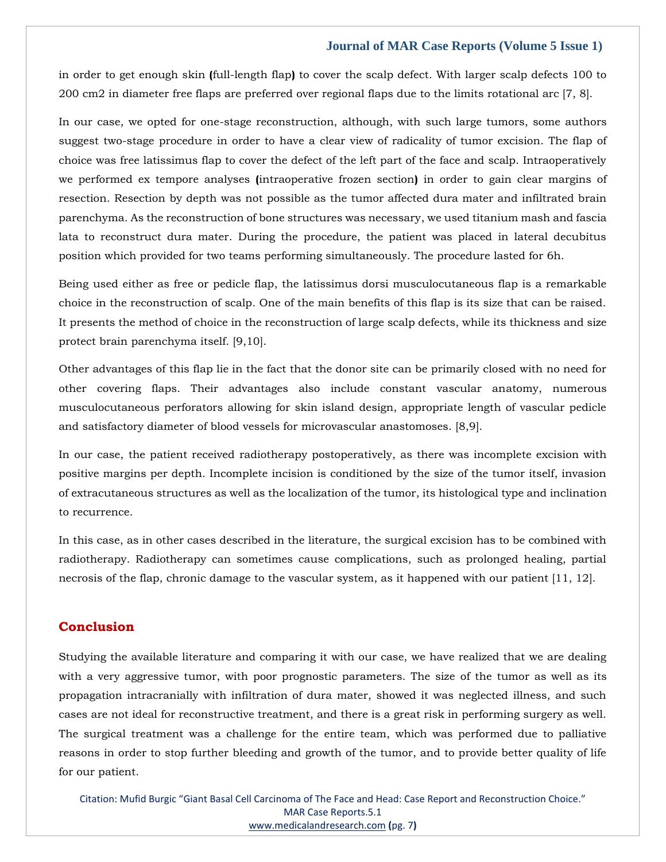in order to get enough skin **(**full-length flap**)** to cover the scalp defect. With larger scalp defects 100 to 200 cm2 in diameter free flaps are preferred over regional flaps due to the limits rotational arc [7, 8].

In our case, we opted for one-stage reconstruction, although, with such large tumors, some authors suggest two-stage procedure in order to have a clear view of radicality of tumor excision. The flap of choice was free latissimus flap to cover the defect of the left part of the face and scalp. Intraoperatively we performed ex tempore analyses **(**intraoperative frozen section**)** in order to gain clear margins of resection. Resection by depth was not possible as the tumor affected dura mater and infiltrated brain parenchyma. As the reconstruction of bone structures was necessary, we used titanium mash and fascia lata to reconstruct dura mater. During the procedure, the patient was placed in lateral decubitus position which provided for two teams performing simultaneously. The procedure lasted for 6h.

Being used either as free or pedicle flap, the latissimus dorsi musculocutaneous flap is a remarkable choice in the reconstruction of scalp. One of the main benefits of this flap is its size that can be raised. It presents the method of choice in the reconstruction of large scalp defects, while its thickness and size protect brain parenchyma itself. [9,10].

Other advantages of this flap lie in the fact that the donor site can be primarily closed with no need for other covering flaps. Their advantages also include constant vascular anatomy, numerous musculocutaneous perforators allowing for skin island design, appropriate length of vascular pedicle and satisfactory diameter of blood vessels for microvascular anastomoses. [8,9].

In our case, the patient received radiotherapy postoperatively, as there was incomplete excision with positive margins per depth. Incomplete incision is conditioned by the size of the tumor itself, invasion of extracutaneous structures as well as the localization of the tumor, its histological type and inclination to recurrence.

In this case, as in other cases described in the literature, the surgical excision has to be combined with radiotherapy. Radiotherapy can sometimes cause complications, such as prolonged healing, partial necrosis of the flap, chronic damage to the vascular system, as it happened with our patient [11, 12].

# **Conclusion**

Studying the available literature and comparing it with our case, we have realized that we are dealing with a very aggressive tumor, with poor prognostic parameters. The size of the tumor as well as its propagation intracranially with infiltration of dura mater, showed it was neglected illness, and such cases are not ideal for reconstructive treatment, and there is a great risk in performing surgery as well. The surgical treatment was a challenge for the entire team, which was performed due to palliative reasons in order to stop further bleeding and growth of the tumor, and to provide better quality of life for our patient.

Citation: Mufid Burgic "Giant Basal Cell Carcinoma of The Face and Head: Case Report and Reconstruction Choice." MAR Case Reports.5.1 [www.medicalandresearch.com](http://www.medicalandresearch.com/) **(**pg. 7**)**